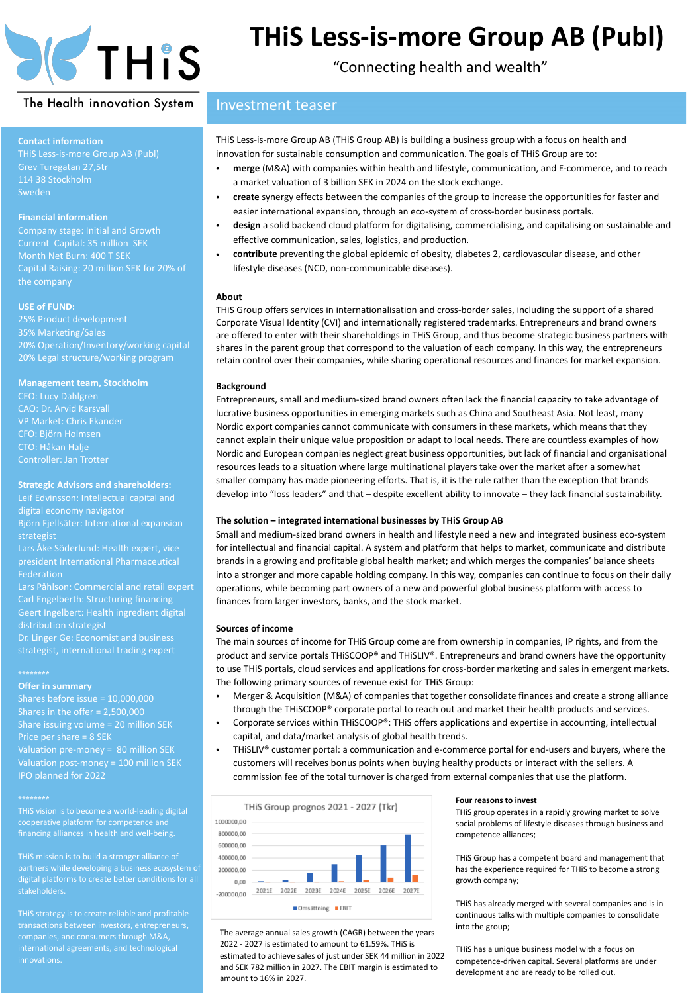

## **THiS Less-is-more Group AB (Publ)**

"Connecting health and wealth"

#### The Health innovation System

# **Contact information**

#### **Financial information**

Sweden

Company stage: Initial and Growth Current Capital: 35 million SEK Month Net Burn: 400 T SEK Capital Raising: 20 million SEK for 20% of the company

#### **USE of FUND:**

20% Legal structure/working program

#### **Management team, Stockholm**

CEO: Lucy Dahlgren CAO: Dr. Arvid Karsvall VP Market: Chris Ekander CFO: Björn Holmsen CTO: Håkan Halje

#### **Strategic Advisors and shareholders:**

Leif Edvinsson: Intellectual capital and digital economy navigator

president International Pharmaceutical Federation

Lars Påhlson: Commercial and retail expert Carl Engelberth: Structuring financing Geert Ingelbert: Health ingredient digital distribution strategist

Dr. Linger Ge: Economist and business strategist, international trading expert

**Offer in summary** Shares before issue = 10,000,000 Shares in the offer = 2,500,000 Share issuing volume = 20 million SEK

THiS vision is to become a world-leading digital

#### Investment teaser

THiS Less-is-more Group AB (THiS Group AB) is building a business group with a focus on health and innovation for sustainable consumption and communication. The goals of THiS Group are to:

- **merge** (M&A) with companies within health and lifestyle, communication, and E-commerce, and to reach a market valuation of 3 billion SEK in 2024 on the stock exchange.
- **create** synergy effects between the companies of the group to increase the opportunities for faster and easier international expansion, through an eco-system of cross-border business portals.
- **design** a solid backend cloud platform for digitalising, commercialising, and capitalising on sustainable and effective communication, sales, logistics, and production.
- **contribute** preventing the global epidemic of obesity, diabetes 2, cardiovascular disease, and other lifestyle diseases (NCD, non-communicable diseases).

#### **About**

THiS Group offers services in internationalisation and cross-border sales, including the support of a shared Corporate Visual Identity (CVI) and internationally registered trademarks. Entrepreneurs and brand owners are offered to enter with their shareholdings in THiS Group, and thus become strategic business partners with shares in the parent group that correspond to the valuation of each company. In this way, the entrepreneurs retain control over their companies, while sharing operational resources and finances for market expansion.

#### **Background**

Entrepreneurs, small and medium-sized brand owners often lack the financial capacity to take advantage of lucrative business opportunities in emerging markets such as China and Southeast Asia. Not least, many Nordic export companies cannot communicate with consumers in these markets, which means that they cannot explain their unique value proposition or adapt to local needs. There are countless examples of how Nordic and European companies neglect great business opportunities, but lack of financial and organisational resources leads to a situation where large multinational players take over the market after a somewhat smaller company has made pioneering efforts. That is, it is the rule rather than the exception that brands develop into "loss leaders" and that – despite excellent ability to innovate – they lack financial sustainability.

#### **The solution – integrated international businesses by THiS Group AB**

Small and medium-sized brand owners in health and lifestyle need a new and integrated business eco-system for intellectual and financial capital. A system and platform that helps to market, communicate and distribute brands in a growing and profitable global health market; and which merges the companies' balance sheets into a stronger and more capable holding company. In this way, companies can continue to focus on their daily operations, while becoming part owners of a new and powerful global business platform with access to finances from larger investors, banks, and the stock market.

#### **Sources of income**

The main sources of income for THiS Group come are from ownership in companies, IP rights, and from the product and service portals THiSCOOP® and THiSLIV®. Entrepreneurs and brand owners have the opportunity to use THiS portals, cloud services and applications for cross-border marketing and sales in emergent markets. The following primary sources of revenue exist for THiS Group:

- Merger & Acquisition (M&A) of companies that together consolidate finances and create a strong alliance through the THiSCOOP® corporate portal to reach out and market their health products and services.
- Corporate services within THiSCOOP®: THiS offers applications and expertise in accounting, intellectual capital, and data/market analysis of global health trends.
- THiSLIV® customer portal: a communication and e-commerce portal for end-users and buyers, where the customers will receives bonus points when buying healthy products or interact with the sellers. A commission fee of the total turnover is charged from external companies that use the platform.



The average annual sales growth (CAGR) between the years 2022 - 2027 is estimated to amount to 61.59%. THiS is estimated to achieve sales of just under SEK 44 million in 2022 and SEK 782 million in 2027. The EBIT margin is estimated to amount to 16% in 2027.

#### **Four reasons to invest**

THiS group operates in a rapidly growing market to solve social problems of lifestyle diseases through business and competence alliances;

THiS Group has a competent board and management that has the experience required for THiS to become a strong growth company;

THiS has already merged with several companies and is in continuous talks with multiple companies to consolidate into the group;

THiS has a unique business model with a focus on competence-driven capital. Several platforms are under development and are ready to be rolled out.